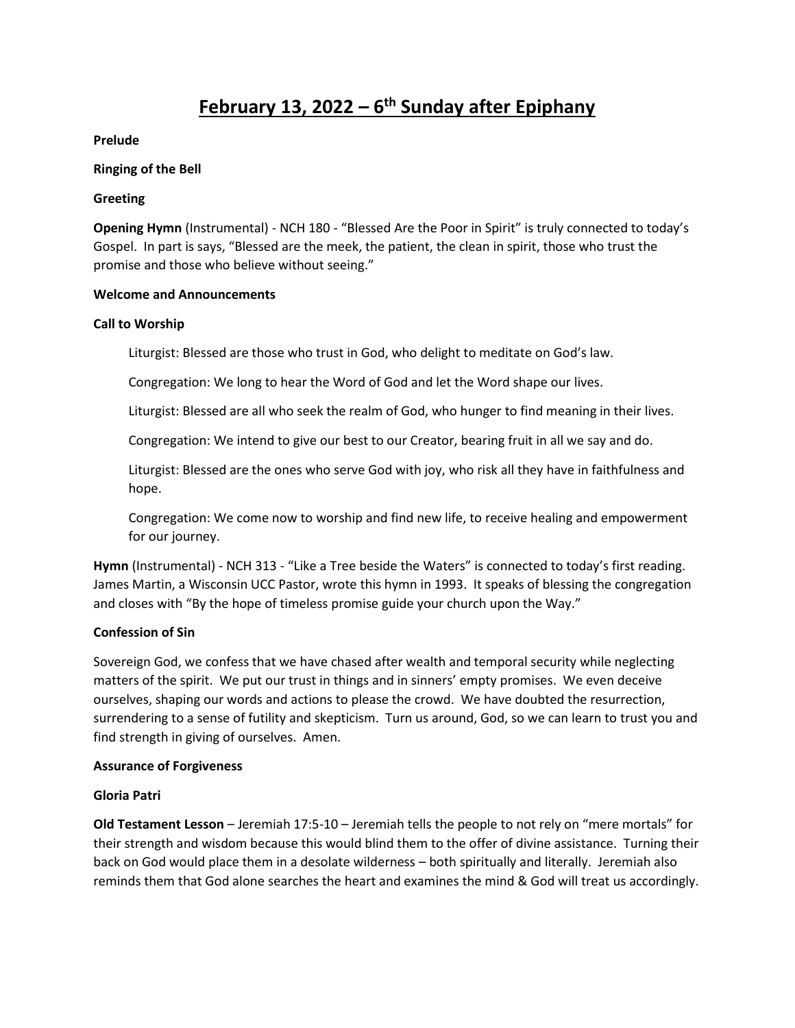# **February 13, 2022 – 6 th Sunday after Epiphany**

**Prelude**

### **Ringing of the Bell**

### **Greeting**

**Opening Hymn** (Instrumental) - NCH 180 - "Blessed Are the Poor in Spirit" is truly connected to today's Gospel. In part is says, "Blessed are the meek, the patient, the clean in spirit, those who trust the promise and those who believe without seeing."

### **Welcome and Announcements**

### **Call to Worship**

Liturgist: Blessed are those who trust in God, who delight to meditate on God's law.

Congregation: We long to hear the Word of God and let the Word shape our lives.

Liturgist: Blessed are all who seek the realm of God, who hunger to find meaning in their lives.

Congregation: We intend to give our best to our Creator, bearing fruit in all we say and do.

Liturgist: Blessed are the ones who serve God with joy, who risk all they have in faithfulness and hope.

Congregation: We come now to worship and find new life, to receive healing and empowerment for our journey.

**Hymn** (Instrumental) - NCH 313 - "Like a Tree beside the Waters" is connected to today's first reading. James Martin, a Wisconsin UCC Pastor, wrote this hymn in 1993. It speaks of blessing the congregation and closes with "By the hope of timeless promise guide your church upon the Way."

# **Confession of Sin**

Sovereign God, we confess that we have chased after wealth and temporal security while neglecting matters of the spirit. We put our trust in things and in sinners' empty promises. We even deceive ourselves, shaping our words and actions to please the crowd. We have doubted the resurrection, surrendering to a sense of futility and skepticism. Turn us around, God, so we can learn to trust you and find strength in giving of ourselves. Amen.

# **Assurance of Forgiveness**

# **Gloria Patri**

**Old Testament Lesson** – Jeremiah 17:5-10 – Jeremiah tells the people to not rely on "mere mortals" for their strength and wisdom because this would blind them to the offer of divine assistance. Turning their back on God would place them in a desolate wilderness – both spiritually and literally. Jeremiah also reminds them that God alone searches the heart and examines the mind & God will treat us accordingly.